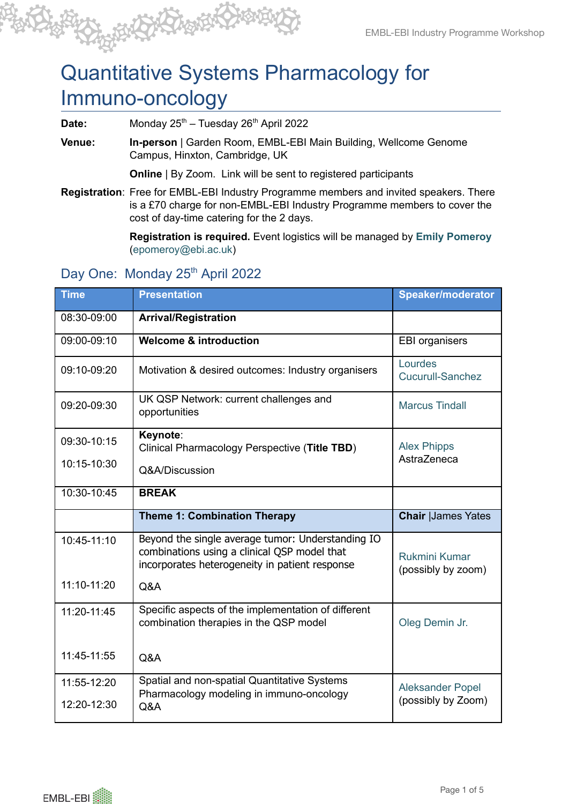# Quantitative Systems Pharmacology for Immuno-oncology

Date: Monday 25<sup>th</sup> – Tuesday 26<sup>th</sup> April 2022

**Venue: In-person** | Garden Room, EMBL-EBI Main Building, Wellcome Genome Campus, Hinxton, Cambridge, UK

**Online** | By Zoom. Link will be sent to registered participants

**Registration**: Free for EMBL-EBI Industry Programme members and invited speakers. There is a £70 charge for non-EMBL-EBI Industry Programme members to cover the cost of day-time catering for the 2 days.

> **Registration is required.** Event logistics will be managed by **Emily [Pomeroy](https://www.ebi.ac.uk/about/people/emily-pomeroy)** [\(epomeroy@ebi.ac.uk](mailto:epomeroy@ebi.ac.uk))

### Day One: Monday 25<sup>th</sup> April 2022

| <b>Time</b>                | <b>Presentation</b>                                                                                                                                 | <b>Speaker/moderator</b>                      |
|----------------------------|-----------------------------------------------------------------------------------------------------------------------------------------------------|-----------------------------------------------|
| 08:30-09:00                | <b>Arrival/Registration</b>                                                                                                                         |                                               |
| 09:00-09:10                | <b>Welcome &amp; introduction</b>                                                                                                                   | <b>EBI</b> organisers                         |
| 09:10-09:20                | Motivation & desired outcomes: Industry organisers                                                                                                  | Lourdes<br>Cucurull-Sanchez                   |
| 09:20-09:30                | UK QSP Network: current challenges and<br>opportunities                                                                                             | <b>Marcus Tindall</b>                         |
| 09:30-10:15                | Keynote:<br>Clinical Pharmacology Perspective (Title TBD)                                                                                           | <b>Alex Phipps</b>                            |
| 10:15-10:30                | Q&A/Discussion                                                                                                                                      | AstraZeneca                                   |
| 10:30-10:45                | <b>BREAK</b>                                                                                                                                        |                                               |
|                            | <b>Theme 1: Combination Therapy</b>                                                                                                                 | <b>Chair James Yates</b>                      |
| 10:45-11:10                | Beyond the single average tumor: Understanding IO<br>combinations using a clinical QSP model that<br>incorporates heterogeneity in patient response | <b>Rukmini Kumar</b><br>(possibly by zoom)    |
| 11:10-11:20                | Q&A                                                                                                                                                 |                                               |
| 11:20-11:45                | Specific aspects of the implementation of different<br>combination therapies in the QSP model                                                       | Oleg Demin Jr.                                |
| 11:45-11:55                | Q&A                                                                                                                                                 |                                               |
| 11:55-12:20<br>12:20-12:30 | Spatial and non-spatial Quantitative Systems<br>Pharmacology modeling in immuno-oncology<br>Q&A                                                     | <b>Aleksander Popel</b><br>(possibly by Zoom) |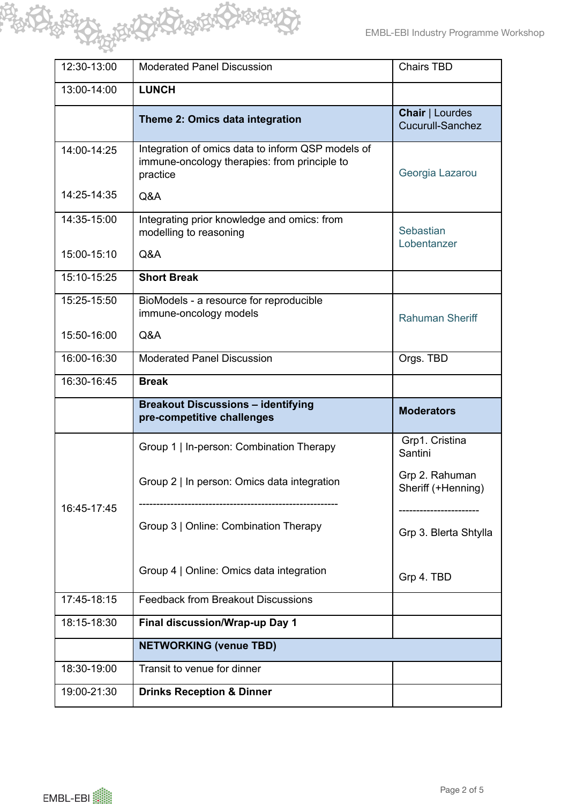| 12:30-13:00 | <b>Moderated Panel Discussion</b>                                                                             | <b>Chairs TBD</b>                          |
|-------------|---------------------------------------------------------------------------------------------------------------|--------------------------------------------|
| 13:00-14:00 | <b>LUNCH</b>                                                                                                  |                                            |
|             | Theme 2: Omics data integration                                                                               | <b>Chair   Lourdes</b><br>Cucurull-Sanchez |
| 14:00-14:25 | Integration of omics data to inform QSP models of<br>immune-oncology therapies: from principle to<br>practice | Georgia Lazarou                            |
| 14:25-14:35 | Q&A                                                                                                           |                                            |
| 14:35-15:00 | Integrating prior knowledge and omics: from<br>modelling to reasoning                                         | Sebastian<br>Lobentanzer                   |
| 15:00-15:10 | Q&A                                                                                                           |                                            |
| 15:10-15:25 | <b>Short Break</b>                                                                                            |                                            |
| 15:25-15:50 | BioModels - a resource for reproducible<br>immune-oncology models                                             | <b>Rahuman Sheriff</b>                     |
| 15:50-16:00 | Q&A                                                                                                           |                                            |
| 16:00-16:30 | <b>Moderated Panel Discussion</b>                                                                             | Orgs. TBD                                  |
| 16:30-16:45 | <b>Break</b>                                                                                                  |                                            |
|             |                                                                                                               |                                            |
|             | <b>Breakout Discussions - identifying</b><br>pre-competitive challenges                                       | <b>Moderators</b>                          |
|             | Group 1   In-person: Combination Therapy                                                                      | Grp1. Cristina<br>Santini                  |
|             | Group 2   In person: Omics data integration                                                                   | Grp 2. Rahuman<br>Sheriff (+Henning)       |
| 16:45-17:45 | Group 3   Online: Combination Therapy                                                                         | Grp 3. Blerta Shtylla                      |
|             | Group 4   Online: Omics data integration                                                                      | Grp 4. TBD                                 |
| 17:45-18:15 | <b>Feedback from Breakout Discussions</b>                                                                     |                                            |
| 18:15-18:30 | <b>Final discussion/Wrap-up Day 1</b>                                                                         |                                            |
|             | <b>NETWORKING (venue TBD)</b>                                                                                 |                                            |
| 18:30-19:00 | Transit to venue for dinner                                                                                   |                                            |

HONGHA CH

模

RA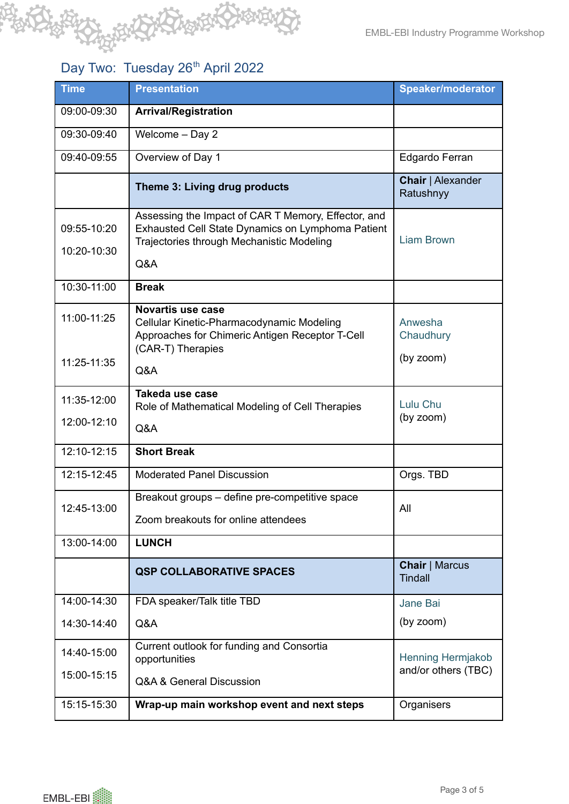### Day Two: Tuesday 26<sup>th</sup> April 2022

EN A

| <b>Time</b>                | <b>Presentation</b>                                                                                                                                          | <b>Speaker/moderator</b>                        |
|----------------------------|--------------------------------------------------------------------------------------------------------------------------------------------------------------|-------------------------------------------------|
| 09:00-09:30                | <b>Arrival/Registration</b>                                                                                                                                  |                                                 |
| 09:30-09:40                | Welcome - Day 2                                                                                                                                              |                                                 |
| 09:40-09:55                | Overview of Day 1                                                                                                                                            | Edgardo Ferran                                  |
|                            | Theme 3: Living drug products                                                                                                                                | Chair   Alexander<br>Ratushnyy                  |
| 09:55-10:20<br>10:20-10:30 | Assessing the Impact of CAR T Memory, Effector, and<br>Exhausted Cell State Dynamics on Lymphoma Patient<br>Trajectories through Mechanistic Modeling<br>Q&A | <b>Liam Brown</b>                               |
| 10:30-11:00                | <b>Break</b>                                                                                                                                                 |                                                 |
| 11:00-11:25<br>11:25-11:35 | <b>Novartis use case</b><br>Cellular Kinetic-Pharmacodynamic Modeling<br>Approaches for Chimeric Antigen Receptor T-Cell<br>(CAR-T) Therapies                | Anwesha<br>Chaudhury<br>(by zoom)               |
|                            | Q&A                                                                                                                                                          |                                                 |
| 11:35-12:00<br>12:00-12:10 | Takeda use case<br>Role of Mathematical Modeling of Cell Therapies<br>Q&A                                                                                    | Lulu Chu<br>(by zoom)                           |
| 12:10-12:15                | <b>Short Break</b>                                                                                                                                           |                                                 |
| 12:15-12:45                | <b>Moderated Panel Discussion</b>                                                                                                                            | Orgs. TBD                                       |
| 12:45-13:00                | Breakout groups - define pre-competitive space<br>Zoom breakouts for online attendees                                                                        | All                                             |
| 13:00-14:00                | <b>LUNCH</b>                                                                                                                                                 |                                                 |
|                            | <b>QSP COLLABORATIVE SPACES</b>                                                                                                                              | <b>Chair   Marcus</b><br><b>Tindall</b>         |
| 14:00-14:30                | FDA speaker/Talk title TBD                                                                                                                                   | Jane Bai                                        |
| 14:30-14:40                | Q&A                                                                                                                                                          | (by zoom)                                       |
| 14:40-15:00                | Current outlook for funding and Consortia<br>opportunities                                                                                                   | <b>Henning Hermjakob</b><br>and/or others (TBC) |
| 15:00-15:15                | Q&A & General Discussion                                                                                                                                     |                                                 |
| 15:15-15:30                | Wrap-up main workshop event and next steps                                                                                                                   | Organisers                                      |

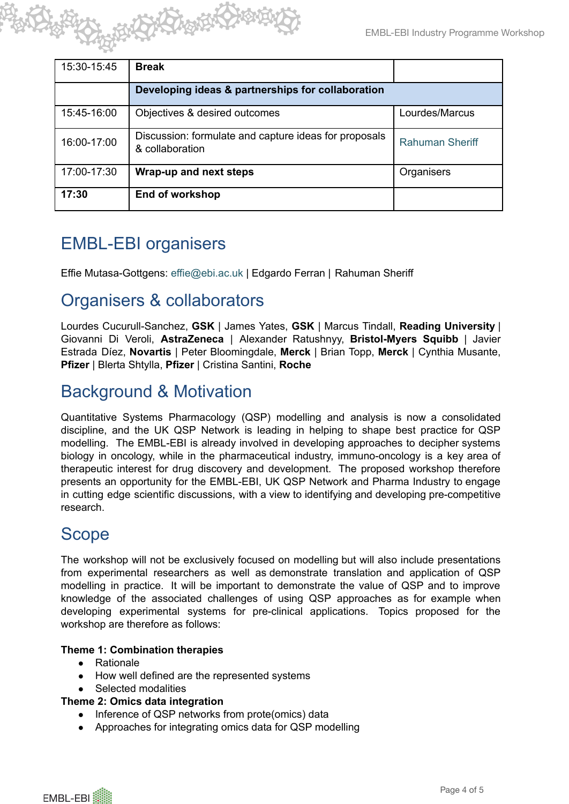| 15:30-15:45 | <b>Break</b>                                                             |                        |
|-------------|--------------------------------------------------------------------------|------------------------|
|             | Developing ideas & partnerships for collaboration                        |                        |
| 15:45-16:00 | Objectives & desired outcomes                                            | Lourdes/Marcus         |
| 16:00-17:00 | Discussion: formulate and capture ideas for proposals<br>& collaboration | <b>Rahuman Sheriff</b> |
| 17:00-17:30 | Wrap-up and next steps                                                   | Organisers             |
| 17:30       | End of workshop                                                          |                        |

# EMBL-EBI organisers

A BUTTON BUTTON BATTLE

Effie Mutasa-Gottgens: [effie@ebi.ac.uk](mailto:effie@ebi.ac.uk) | Edgardo Ferran | Rahuman Sheriff

### Organisers & collaborators

Lourdes Cucurull-Sanchez, **GSK** | James Yates, **GSK** | Marcus Tindall, **Reading University** | Giovanni Di Veroli, **AstraZeneca** | Alexander Ratushnyy, **Bristol-Myers Squibb** | Javier Estrada Díez, **Novartis** | Peter Bloomingdale, **Merck** | Brian Topp, **Merck** | Cynthia Musante, **Pfizer** | Blerta Shtylla, **Pfizer** | Cristina Santini, **Roche**

## Background & Motivation

Quantitative Systems Pharmacology (QSP) modelling and analysis is now a consolidated discipline, and the UK QSP Network is leading in helping to shape best practice for QSP modelling. The EMBL-EBI is already involved in developing approaches to decipher systems biology in oncology, while in the pharmaceutical industry, immuno-oncology is a key area of therapeutic interest for drug discovery and development. The proposed workshop therefore presents an opportunity for the EMBL-EBI, UK QSP Network and Pharma Industry to engage in cutting edge scientific discussions, with a view to identifying and developing pre-competitive research.

### Scope

The workshop will not be exclusively focused on modelling but will also include presentations from experimental researchers as well as demonstrate translation and application of QSP modelling in practice. It will be important to demonstrate the value of QSP and to improve knowledge of the associated challenges of using QSP approaches as for example when developing experimental systems for pre-clinical applications. Topics proposed for the workshop are therefore as follows:

#### **Theme 1: Combination therapies**

- Rationale
- How well defined are the represented systems
- Selected modalities

#### **Theme 2: Omics data integration**

- Inference of QSP networks from prote(omics) data
- Approaches for integrating omics data for QSP modelling